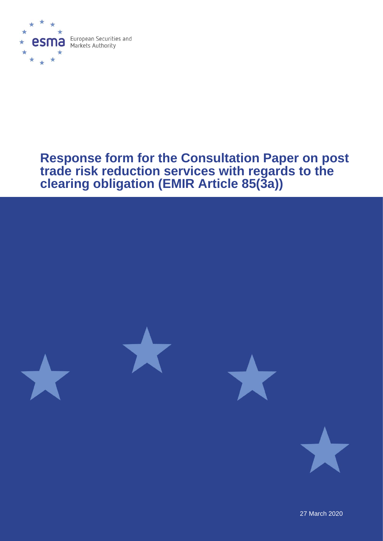

# **Response form for the Consultation Paper on post trade risk reduction services with regards to the clearing obligation (EMIR Article 85(3a))**



27 March 2020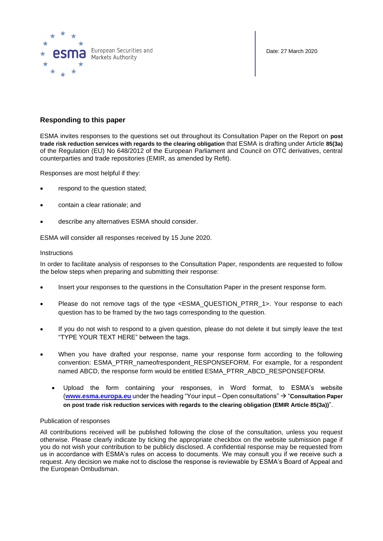

Date: 27 March 2020

## **Responding to this paper**

ESMA invites responses to the questions set out throughout its Consultation Paper on the Report on **post trade risk reduction services with regards to the clearing obligation** that ESMA is drafting under Article **85(3a)**  of the Regulation (EU) No 648/2012 of the European Parliament and Council on OTC derivatives, central counterparties and trade repositories (EMIR, as amended by Refit).

Responses are most helpful if they:

- respond to the question stated;
- contain a clear rationale; and
- describe any alternatives ESMA should consider.

ESMA will consider all responses received by 15 June 2020.

#### **Instructions**

In order to facilitate analysis of responses to the Consultation Paper, respondents are requested to follow the below steps when preparing and submitting their response:

- Insert your responses to the questions in the Consultation Paper in the present response form.
- Please do not remove tags of the type <ESMA\_QUESTION\_PTRR\_1>. Your response to each question has to be framed by the two tags corresponding to the question.
- If you do not wish to respond to a given question, please do not delete it but simply leave the text "TYPE YOUR TEXT HERE" between the tags.
- When you have drafted your response, name your response form according to the following convention: ESMA\_PTRR\_nameofrespondent\_RESPONSEFORM. For example, for a respondent named ABCD, the response form would be entitled ESMA\_PTRR\_ABCD\_RESPONSEFORM.
	- Upload the form containing your responses, in Word format, to ESMA's website (**[www.esma.europa.eu](http://www.esma.europa.eu/)** under the heading "Your input – Open consultations" → "**Consultation Paper on post trade risk reduction services with regards to the clearing obligation (EMIR Article 85(3a))**".

## Publication of responses

All contributions received will be published following the close of the consultation, unless you request otherwise. Please clearly indicate by ticking the appropriate checkbox on the website submission page if you do not wish your contribution to be publicly disclosed. A confidential response may be requested from us in accordance with ESMA's rules on access to documents. We may consult you if we receive such a request. Any decision we make not to disclose the response is reviewable by ESMA's Board of Appeal and the European Ombudsman.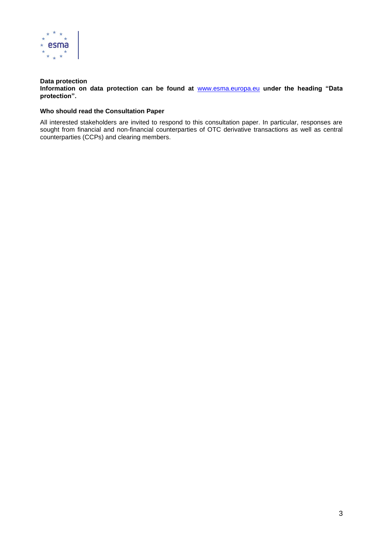

## **Data protection**

**Information on data protection can be found at** [www.esma.europa.eu](http://www.esma.europa.eu/) **under the heading "Data protection".**

## **Who should read the Consultation Paper**

All interested stakeholders are invited to respond to this consultation paper. In particular, responses are sought from financial and non-financial counterparties of OTC derivative transactions as well as central counterparties (CCPs) and clearing members.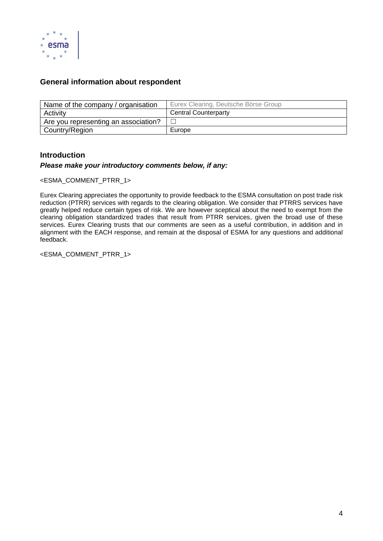

# **General information about respondent**

| Name of the company / organisation   | Eurex Clearing, Deutsche Börse Group |
|--------------------------------------|--------------------------------------|
| Activity                             | <b>Central Counterparty</b>          |
| Are you representing an association? |                                      |
| Country/Region                       | Europe                               |

# **Introduction**

## *Please make your introductory comments below, if any:*

<ESMA\_COMMENT\_PTRR\_1>

Eurex Clearing appreciates the opportunity to provide feedback to the ESMA consultation on post trade risk reduction (PTRR) services with regards to the clearing obligation. We consider that PTRRS services have greatly helped reduce certain types of risk. We are however sceptical about the need to exempt from the clearing obligation standardized trades that result from PTRR services, given the broad use of these services. Eurex Clearing trusts that our comments are seen as a useful contribution, in addition and in alignment with the EACH response, and remain at the disposal of ESMA for any questions and additional feedback.

<ESMA\_COMMENT\_PTRR\_1>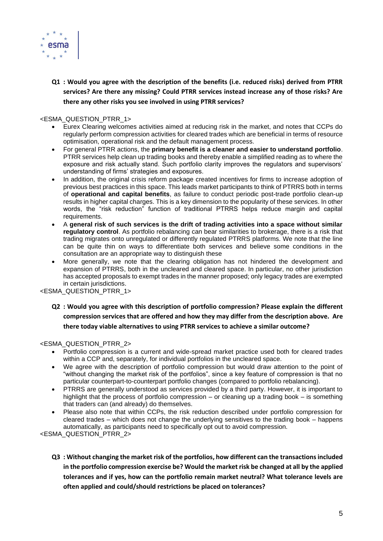

**Q1 : Would you agree with the description of the benefits (i.e. reduced risks) derived from PTRR services? Are there any missing? Could PTRR services instead increase any of those risks? Are there any other risks you see involved in using PTRR services?**

## <ESMA\_QUESTION\_PTRR\_1>

- Eurex Clearing welcomes activities aimed at reducing risk in the market, and notes that CCPs do regularly perform compression activities for cleared trades which are beneficial in terms of resource optimisation, operational risk and the default management process.
- For general PTRR actions, the **primary benefit is a cleaner and easier to understand portfolio**. PTRR services help clean up trading books and thereby enable a simplified reading as to where the exposure and risk actually stand. Such portfolio clarity improves the regulators and supervisors' understanding of firms' strategies and exposures.
- In addition, the original crisis reform package created incentives for firms to increase adoption of previous best practices in this space. This leads market participants to think of PTRRS both in terms of **operational and capital benefits**, as failure to conduct periodic post-trade portfolio clean-up results in higher capital charges. This is a key dimension to the popularity of these services. In other words, the "risk reduction" function of traditional PTRRS helps reduce margin and capital requirements.
- A **general risk of such services is the drift of trading activities into a space without similar regulatory control**. As portfolio rebalancing can bear similarities to brokerage, there is a risk that trading migrates onto unregulated or differently regulated PTRRS platforms. We note that the line can be quite thin on ways to differentiate both services and believe some conditions in the consultation are an appropriate way to distinguish these
- More generally, we note that the clearing obligation has not hindered the development and expansion of PTRRS, both in the uncleared and cleared space. In particular, no other jurisdiction has accepted proposals to exempt trades in the manner proposed; only legacy trades are exempted in certain jurisdictions.

<ESMA\_QUESTION\_PTRR\_1>

**Q2 : Would you agree with this description of portfolio compression? Please explain the different compression services that are offered and how they may differ from the description above. Are there today viable alternatives to using PTRR services to achieve a similar outcome?** 

## <ESMA\_QUESTION\_PTRR\_2>

- Portfolio compression is a current and wide-spread market practice used both for cleared trades within a CCP and, separately, for individual portfolios in the uncleared space.
- We agree with the description of portfolio compression but would draw attention to the point of "without changing the market risk of the portfolios", since a key feature of compression is that no particular counterpart-to-counterpart portfolio changes (compared to portfolio rebalancing).
- PTRRS are generally understood as services provided by a third party. However, it is important to highlight that the process of portfolio compression – or cleaning up a trading book – is something that traders can (and already) do themselves.
- Please also note that within CCPs, the risk reduction described under portfolio compression for cleared trades – which does not change the underlying sensitives to the trading book – happens automatically, as participants need to specifically opt out to avoid compression.

<ESMA\_QUESTION\_PTRR\_2>

**Q3 : Without changing the market risk of the portfolios, how different can the transactions included in the portfolio compression exercise be? Would the market risk be changed at all by the applied tolerances and if yes, how can the portfolio remain market neutral? What tolerance levels are often applied and could/should restrictions be placed on tolerances?**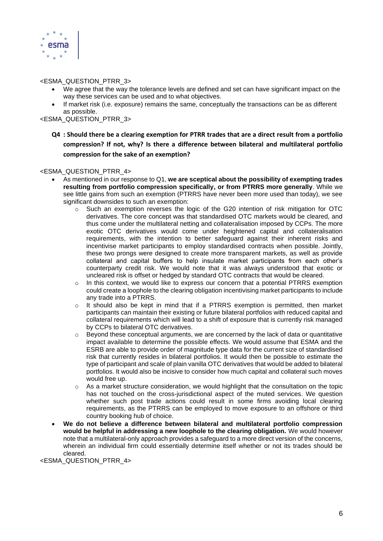

## <ESMA\_QUESTION\_PTRR\_3>

- We agree that the way the tolerance levels are defined and set can have significant impact on the way these services can be used and to what objectives.
- If market risk (i.e. exposure) remains the same, conceptually the transactions can be as different as possible.

<ESMA\_QUESTION\_PTRR\_3>

**Q4 : Should there be a clearing exemption for PTRR trades that are a direct result from a portfolio compression? If not, why? Is there a difference between bilateral and multilateral portfolio compression for the sake of an exemption?** 

#### <ESMA\_QUESTION\_PTRR\_4>

- As mentioned in our response to Q1, **we are sceptical about the possibility of exempting trades resulting from portfolio compression specifically, or from PTRRS more generally**. While we see little gains from such an exemption (PTRRS have never been more used than today), we see significant downsides to such an exemption:
	- $\circ$  Such an exemption reverses the logic of the G20 intention of risk mitigation for OTC derivatives. The core concept was that standardised OTC markets would be cleared, and thus come under the multilateral netting and collateralisation imposed by CCPs. The more exotic OTC derivatives would come under heightened capital and collateralisation requirements, with the intention to better safeguard against their inherent risks and incentivise market participants to employ standardised contracts when possible. Jointly, these two prongs were designed to create more transparent markets, as well as provide collateral and capital buffers to help insulate market participants from each other's counterparty credit risk. We would note that it was always understood that exotic or uncleared risk is offset or hedged by standard OTC contracts that would be cleared.
	- $\circ$  In this context, we would like to express our concern that a potential PTRRS exemption could create a loophole to the clearing obligation incentivising market participants to include any trade into a PTRRS.
	- $\circ$  It should also be kept in mind that if a PTRRS exemption is permitted, then market participants can maintain their existing or future bilateral portfolios with reduced capital and collateral requirements which will lead to a shift of exposure that is currently risk managed by CCPs to bilateral OTC derivatives.
	- o Beyond these conceptual arguments, we are concerned by the lack of data or quantitative impact available to determine the possible effects. We would assume that ESMA and the ESRB are able to provide order of magnitude type data for the current size of standardised risk that currently resides in bilateral portfolios. It would then be possible to estimate the type of participant and scale of plain vanilla OTC derivatives that would be added to bilateral portfolios. It would also be incisive to consider how much capital and collateral such moves would free up.
	- $\circ$  As a market structure consideration, we would highlight that the consultation on the topic has not touched on the cross-jurisdictional aspect of the muted services. We question whether such post trade actions could result in some firms avoiding local clearing requirements, as the PTRRS can be employed to move exposure to an offshore or third country booking hub of choice.
- **We do not believe a difference between bilateral and multilateral portfolio compression would be helpful in addressing a new loophole to the clearing obligation.** We would however note that a multilateral-only approach provides a safeguard to a more direct version of the concerns, wherein an individual firm could essentially determine itself whether or not its trades should be cleared.

<ESMA\_QUESTION\_PTRR\_4>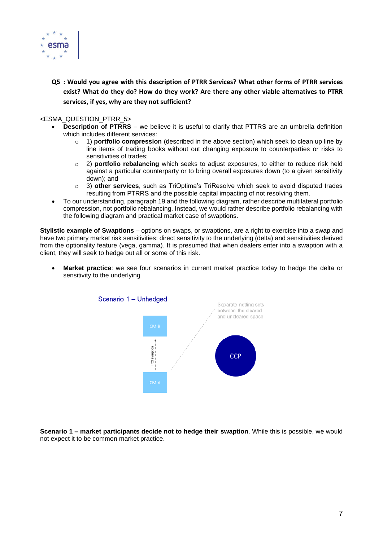

**Q5 : Would you agree with this description of PTRR Services? What other forms of PTRR services exist? What do they do? How do they work? Are there any other viable alternatives to PTRR services, if yes, why are they not sufficient?**

#### <ESMA\_QUESTION\_PTRR\_5>

- **Description of PTRRS** we believe it is useful to clarify that PTTRS are an umbrella definition which includes different services:
	- o 1) **portfolio compression** (described in the above section) which seek to clean up line by line items of trading books without out changing exposure to counterparties or risks to sensitivities of trades;
	- o 2) **portfolio rebalancing** which seeks to adjust exposures, to either to reduce risk held against a particular counterparty or to bring overall exposures down (to a given sensitivity down); and
	- o 3) **other services**, such as TriOptima's TriResolve which seek to avoid disputed trades resulting from PTRRS and the possible capital impacting of not resolving them.
- To our understanding, paragraph 19 and the following diagram, rather describe multilateral portfolio compression, not portfolio rebalancing. Instead, we would rather describe portfolio rebalancing with the following diagram and practical market case of swaptions.

**Stylistic example of Swaptions** – options on swaps, or swaptions, are a right to exercise into a swap and have two primary market risk sensitivities: direct sensitivity to the underlying (delta) and sensitivities derived from the optionality feature (vega, gamma). It is presumed that when dealers enter into a swaption with a client, they will seek to hedge out all or some of this risk.

• **Market practice**: we see four scenarios in current market practice today to hedge the delta or sensitivity to the underlying



**Scenario 1 – market participants decide not to hedge their swaption**. While this is possible, we would not expect it to be common market practice.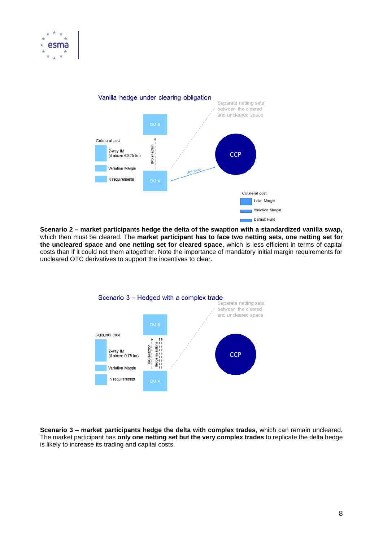



**Scenario 2 – market participants hedge the delta of the swaption with a standardized vanilla swap,** which then must be cleared. The **market participant has to face two netting sets**, **one netting set for the uncleared space and one netting set for cleared space**, which is less efficient in terms of capital costs than if it could net them altogether. Note the importance of mandatory initial margin requirements for uncleared OTC derivatives to support the incentives to clear.



**Scenario 3 – market participants hedge the delta with complex trades**, which can remain uncleared. The market participant has **only one netting set but the very complex trades** to replicate the delta hedge is likely to increase its trading and capital costs.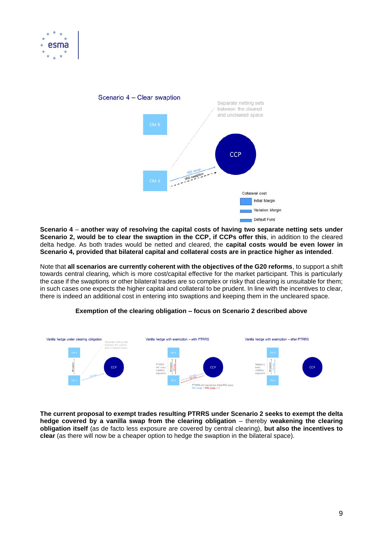



**Scenario 4** – **another way of resolving the capital costs of having two separate netting sets under Scenario 2, would be to clear the swaption in the CCP, if CCPs offer this**, in addition to the cleared delta hedge. As both trades would be netted and cleared, the **capital costs would be even lower in Scenario 4, provided that bilateral capital and collateral costs are in practice higher as intended**.

Note that **all scenarios are currently coherent with the objectives of the G20 reforms**, to support a shift towards central clearing, which is more cost/capital effective for the market participant. This is particularly the case if the swaptions or other bilateral trades are so complex or risky that clearing is unsuitable for them; in such cases one expects the higher capital and collateral to be prudent. In line with the incentives to clear, there is indeed an additional cost in entering into swaptions and keeping them in the uncleared space.



## **Exemption of the clearing obligation – focus on Scenario 2 described above**

**The current proposal to exempt trades resulting PTRRS under Scenario 2 seeks to exempt the delta hedge covered by a vanilla swap from the clearing obligation** – thereby **weakening the clearing obligation itself** (as de facto less exposure are covered by central clearing), **but also the incentives to clear** (as there will now be a cheaper option to hedge the swaption in the bilateral space).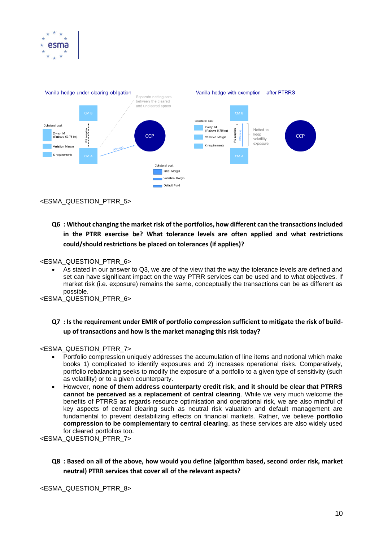



<ESMA\_QUESTION\_PTRR\_5>

# **Q6 : Without changing the market risk of the portfolios, how different can the transactions included in the PTRR exercise be? What tolerance levels are often applied and what restrictions could/should restrictions be placed on tolerances (if applies)?**

#### <ESMA\_QUESTION\_PTRR\_6>

• As stated in our answer to Q3, we are of the view that the way the tolerance levels are defined and set can have significant impact on the way PTRR services can be used and to what objectives. If market risk (i.e. exposure) remains the same, conceptually the transactions can be as different as possible.

<ESMA\_QUESTION\_PTRR\_6>

## **Q7 : Is the requirement under EMIR of portfolio compression sufficient to mitigate the risk of buildup of transactions and how is the market managing this risk today?**

<ESMA\_QUESTION\_PTRR\_7>

- Portfolio compression uniquely addresses the accumulation of line items and notional which make books 1) complicated to identify exposures and 2) increases operational risks. Comparatively, portfolio rebalancing seeks to modify the exposure of a portfolio to a given type of sensitivity (such as volatility) or to a given counterparty.
- However, **none of them address counterparty credit risk, and it should be clear that PTRRS cannot be perceived as a replacement of central clearing**. While we very much welcome the benefits of PTRRS as regards resource optimisation and operational risk, we are also mindful of key aspects of central clearing such as neutral risk valuation and default management are fundamental to prevent destabilizing effects on financial markets. Rather, we believe **portfolio compression to be complementary to central clearing**, as these services are also widely used for cleared portfolios too.

<ESMA\_QUESTION\_PTRR\_7>

**Q8 : Based on all of the above, how would you define (algorithm based, second order risk, market neutral) PTRR services that cover all of the relevant aspects?**

<ESMA\_QUESTION\_PTRR\_8>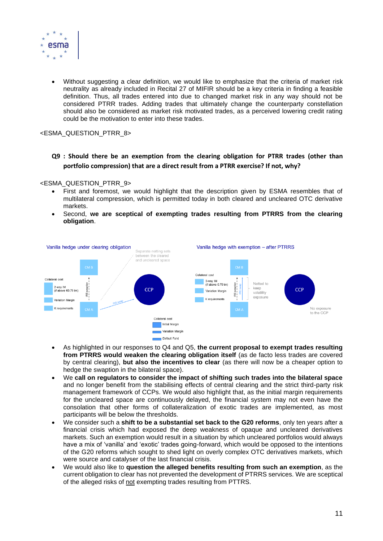

• Without suggesting a clear definition, we would like to emphasize that the criteria of market risk neutrality as already included in Recital 27 of MIFIR should be a key criteria in finding a feasible definition. Thus, all trades entered into due to changed market risk in any way should not be considered PTRR trades. Adding trades that ultimately change the counterparty constellation should also be considered as market risk motivated trades, as a perceived lowering credit rating could be the motivation to enter into these trades.

<ESMA\_QUESTION\_PTRR\_8>

**Q9 : Should there be an exemption from the clearing obligation for PTRR trades (other than portfolio compression) that are a direct result from a PTRR exercise? If not, why?** 

<ESMA\_QUESTION\_PTRR\_9>

- First and foremost, we would highlight that the description given by ESMA resembles that of multilateral compression, which is permitted today in both cleared and uncleared OTC derivative markets.
- Second, **we are sceptical of exempting trades resulting from PTRRS from the clearing obligation**.



- As highlighted in our responses to Q4 and Q5, **the current proposal to exempt trades resulting from PTRRS would weaken the clearing obligation itself** (as de facto less trades are covered by central clearing), **but also the incentives to clear** (as there will now be a cheaper option to hedge the swaption in the bilateral space).
- We **call on regulators to consider the impact of shifting such trades into the bilateral space** and no longer benefit from the stabilising effects of central clearing and the strict third-party risk management framework of CCPs. We would also highlight that, as the initial margin requirements for the uncleared space are continuously delayed, the financial system may not even have the consolation that other forms of collateralization of exotic trades are implemented, as most participants will be below the thresholds.
- We consider such a **shift to be a substantial set back to the G20 reforms**, only ten years after a financial crisis which had exposed the deep weakness of opaque and uncleared derivatives markets. Such an exemption would result in a situation by which uncleared portfolios would always have a mix of 'vanilla' and 'exotic' trades going-forward, which would be opposed to the intentions of the G20 reforms which sought to shed light on overly complex OTC derivatives markets, which were source and catalyser of the last financial crisis.
- We would also like to **question the alleged benefits resulting from such an exemption**, as the current obligation to clear has not prevented the development of PTRRS services. We are sceptical of the alleged risks of not exempting trades resulting from PTTRS.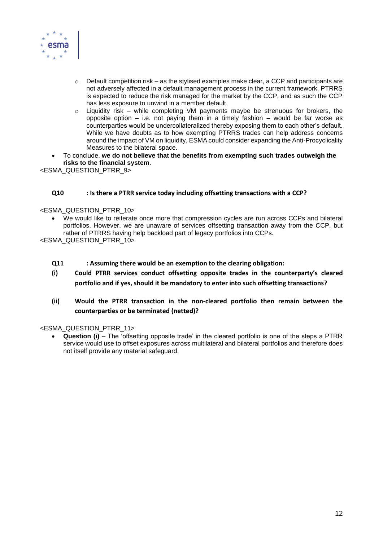

- $\circ$  Default competition risk as the stylised examples make clear, a CCP and participants are not adversely affected in a default management process in the current framework. PTRRS is expected to reduce the risk managed for the market by the CCP, and as such the CCP has less exposure to unwind in a member default.
- $\circ$  Liquidity risk while completing VM payments maybe be strenuous for brokers, the opposite option – i.e. not paying them in a timely fashion – would be far worse as counterparties would be undercollateralized thereby exposing them to each other's default. While we have doubts as to how exempting PTRRS trades can help address concerns around the impact of VM on liquidity, ESMA could consider expanding the Anti-Procyclicality Measures to the bilateral space.
- To conclude, **we do not believe that the benefits from exempting such trades outweigh the risks to the financial system**.

<ESMA\_QUESTION\_PTRR\_9>

## **Q10 : Is there a PTRR service today including offsetting transactions with a CCP?**

#### <ESMA\_QUESTION\_PTRR\_10>

• We would like to reiterate once more that compression cycles are run across CCPs and bilateral portfolios. However, we are unaware of services offsetting transaction away from the CCP, but rather of PTRRS having help backload part of legacy portfolios into CCPs.

<ESMA\_QUESTION\_PTRR\_10>

- **Q11 : Assuming there would be an exemption to the clearing obligation:**
- **(i) Could PTRR services conduct offsetting opposite trades in the counterparty's cleared portfolio and if yes, should it be mandatory to enter into such offsetting transactions?**
- **(ii) Would the PTRR transaction in the non-cleared portfolio then remain between the counterparties or be terminated (netted)?**

<ESMA\_QUESTION\_PTRR\_11>

• **Question (i)** – The 'offsetting opposite trade' in the cleared portfolio is one of the steps a PTRR service would use to offset exposures across multilateral and bilateral portfolios and therefore does not itself provide any material safeguard.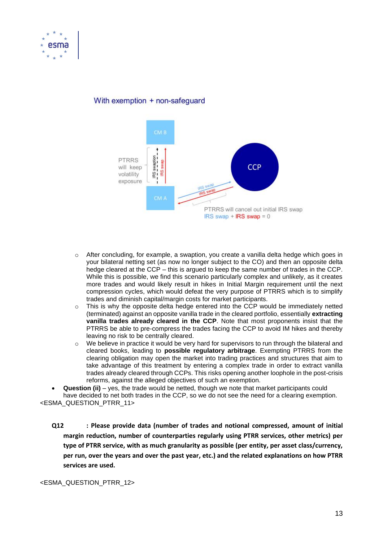



## With exemption + non-safeguard

- o After concluding, for example, a swaption, you create a vanilla delta hedge which goes in your bilateral netting set (as now no longer subject to the CO) and then an opposite delta hedge cleared at the CCP – this is argued to keep the same number of trades in the CCP. While this is possible, we find this scenario particularly complex and unlikely, as it creates more trades and would likely result in hikes in Initial Margin requirement until the next compression cycles, which would defeat the very purpose of PTRRS which is to simplify trades and diminish capital/margin costs for market participants.
- $\circ$  This is why the opposite delta hedge entered into the CCP would be immediately netted (terminated) against an opposite vanilla trade in the cleared portfolio, essentially **extracting vanilla trades already cleared in the CCP**. Note that most proponents insist that the PTRRS be able to pre-compress the trades facing the CCP to avoid IM hikes and thereby leaving no risk to be centrally cleared.
- $\circ$  We believe in practice it would be very hard for supervisors to run through the bilateral and cleared books, leading to **possible regulatory arbitrage**. Exempting PTRRS from the clearing obligation may open the market into trading practices and structures that aim to take advantage of this treatment by entering a complex trade in order to extract vanilla trades already cleared through CCPs. This risks opening another loophole in the post-crisis reforms, against the alleged objectives of such an exemption.

• **Question (ii)** – yes, the trade would be netted, though we note that market participants could have decided to net both trades in the CCP, so we do not see the need for a clearing exemption. <ESMA\_QUESTION\_PTRR\_11>

**Q12 : Please provide data (number of trades and notional compressed, amount of initial margin reduction, number of counterparties regularly using PTRR services, other metrics) per type of PTRR service, with as much granularity as possible (per entity, per asset class/currency, per run, over the years and over the past year, etc.) and the related explanations on how PTRR services are used.**

<ESMA\_QUESTION\_PTRR\_12>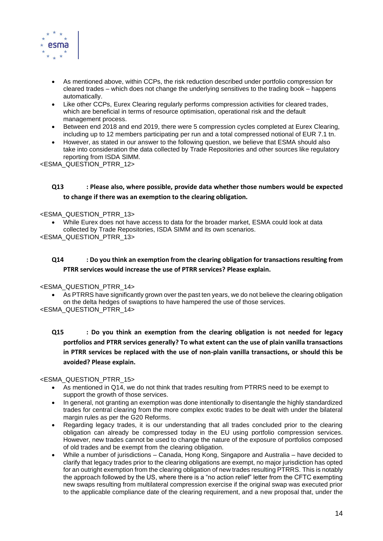

- As mentioned above, within CCPs, the risk reduction described under portfolio compression for cleared trades – which does not change the underlying sensitives to the trading book – happens automatically.
- Like other CCPs, Eurex Clearing regularly performs compression activities for cleared trades, which are beneficial in terms of resource optimisation, operational risk and the default management process.
- Between end 2018 and end 2019, there were 5 compression cycles completed at Eurex Clearing, including up to 12 members participating per run and a total compressed notional of EUR 7.1 tn.
- However, as stated in our answer to the following question, we believe that ESMA should also take into consideration the data collected by Trade Repositories and other sources like regulatory reporting from ISDA SIMM.

<ESMA\_QUESTION\_PTRR\_12>

## **Q13 : Please also, where possible, provide data whether those numbers would be expected to change if there was an exemption to the clearing obligation.**

#### <ESMA\_QUESTION\_PTRR\_13>

• While Eurex does not have access to data for the broader market, ESMA could look at data collected by Trade Repositories, ISDA SIMM and its own scenarios. <ESMA\_QUESTION\_PTRR\_13>

## **Q14 : Do you think an exemption from the clearing obligation for transactions resulting from PTRR services would increase the use of PTRR services? Please explain.**

## <ESMA\_QUESTION\_PTRR\_14>

As PTRRS have significantly grown over the past ten years, we do not believe the clearing obligation on the delta hedges of swaptions to have hampered the use of those services.

<ESMA\_QUESTION\_PTRR\_14>

**Q15 : Do you think an exemption from the clearing obligation is not needed for legacy portfolios and PTRR services generally? To what extent can the use of plain vanilla transactions in PTRR services be replaced with the use of non-plain vanilla transactions, or should this be avoided? Please explain.**

## <ESMA\_QUESTION\_PTRR\_15>

- As mentioned in Q14, we do not think that trades resulting from PTRRS need to be exempt to support the growth of those services.
- In general, not granting an exemption was done intentionally to disentangle the highly standardized trades for central clearing from the more complex exotic trades to be dealt with under the bilateral margin rules as per the G20 Reforms.
- Regarding legacy trades, it is our understanding that all trades concluded prior to the clearing obligation can already be compressed today in the EU using portfolio compression services. However, new trades cannot be used to change the nature of the exposure of portfolios composed of old trades and be exempt from the clearing obligation.
- While a number of jurisdictions Canada, Hong Kong, Singapore and Australia have decided to clarify that legacy trades prior to the clearing obligations are exempt, no major jurisdiction has opted for an outright exemption from the clearing obligation of new trades resulting PTRRS. This is notably the approach followed by the US, where there is a "no action relief" letter from the CFTC exempting new swaps resulting from multilateral compression exercise if the original swap was executed prior to the applicable compliance date of the clearing requirement, and a new proposal that, under the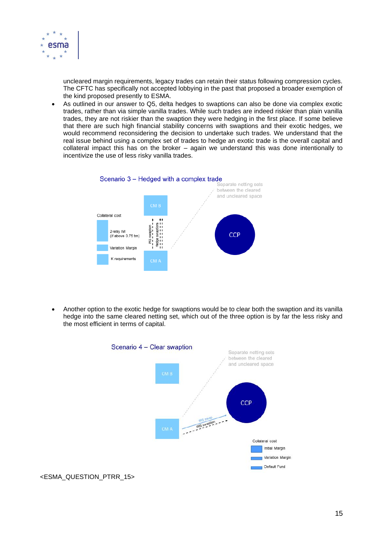

uncleared margin requirements, legacy trades can retain their status following compression cycles. The CFTC has specifically not accepted lobbying in the past that proposed a broader exemption of the kind proposed presently to ESMA.

• As outlined in our answer to Q5, delta hedges to swaptions can also be done via complex exotic trades, rather than via simple vanilla trades. While such trades are indeed riskier than plain vanilla trades, they are not riskier than the swaption they were hedging in the first place. If some believe that there are such high financial stability concerns with swaptions and their exotic hedges, we would recommend reconsidering the decision to undertake such trades. We understand that the real issue behind using a complex set of trades to hedge an exotic trade is the overall capital and collateral impact this has on the broker – again we understand this was done intentionally to incentivize the use of less risky vanilla trades.



• Another option to the exotic hedge for swaptions would be to clear both the swaption and its vanilla hedge into the same cleared netting set, which out of the three option is by far the less risky and the most efficient in terms of capital.



<ESMA\_QUESTION\_PTRR\_15>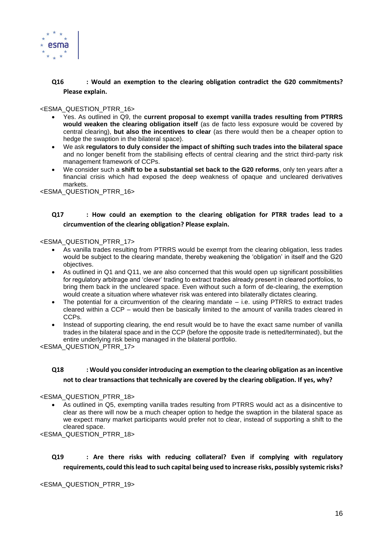

## **Q16 : Would an exemption to the clearing obligation contradict the G20 commitments? Please explain.**

<ESMA\_QUESTION\_PTRR\_16>

- Yes. As outlined in Q9, the **current proposal to exempt vanilla trades resulting from PTRRS would weaken the clearing obligation itself** (as de facto less exposure would be covered by central clearing), **but also the incentives to clear** (as there would then be a cheaper option to hedge the swaption in the bilateral space).
- We ask **regulators to duly consider the impact of shifting such trades into the bilateral space** and no longer benefit from the stabilising effects of central clearing and the strict third-party risk management framework of CCPs.
- We consider such a **shift to be a substantial set back to the G20 reforms**, only ten years after a financial crisis which had exposed the deep weakness of opaque and uncleared derivatives markets.

<ESMA\_QUESTION\_PTRR\_16>

## **Q17 : How could an exemption to the clearing obligation for PTRR trades lead to a circumvention of the clearing obligation? Please explain.**

#### <ESMA\_QUESTION\_PTRR\_17>

- As vanilla trades resulting from PTRRS would be exempt from the clearing obligation, less trades would be subject to the clearing mandate, thereby weakening the 'obligation' in itself and the G20 objectives.
- As outlined in Q1 and Q11, we are also concerned that this would open up significant possibilities for regulatory arbitrage and 'clever' trading to extract trades already present in cleared portfolios, to bring them back in the uncleared space. Even without such a form of de-clearing, the exemption would create a situation where whatever risk was entered into bilaterally dictates clearing.
- The potential for a circumvention of the clearing mandate  $-$  i.e. using PTRRS to extract trades cleared within a CCP – would then be basically limited to the amount of vanilla trades cleared in CCPs.
- Instead of supporting clearing, the end result would be to have the exact same number of vanilla trades in the bilateral space and in the CCP (before the opposite trade is netted/terminated), but the entire underlying risk being managed in the bilateral portfolio.

<ESMA\_QUESTION\_PTRR\_17>

# **Q18 : Would you consider introducing an exemption to the clearing obligation as an incentive not to clear transactions that technically are covered by the clearing obligation. If yes, why?**

#### <ESMA\_QUESTION\_PTRR\_18>

• As outlined in Q5, exempting vanilla trades resulting from PTRRS would act as a disincentive to clear as there will now be a much cheaper option to hedge the swaption in the bilateral space as we expect many market participants would prefer not to clear, instead of supporting a shift to the cleared space.

<ESMA\_QUESTION\_PTRR\_18>

**Q19 : Are there risks with reducing collateral? Even if complying with regulatory requirements, could this lead to such capital being used to increase risks, possibly systemic risks?**

<ESMA\_QUESTION\_PTRR\_19>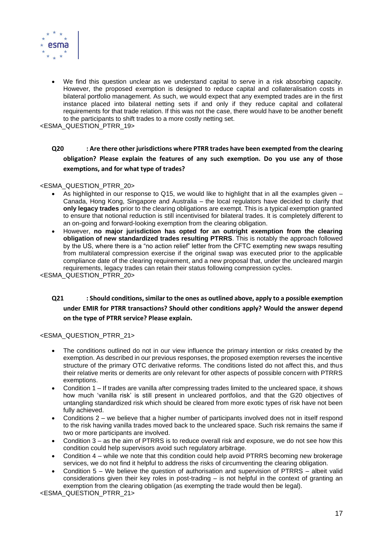

• We find this question unclear as we understand capital to serve in a risk absorbing capacity. However, the proposed exemption is designed to reduce capital and collateralisation costs in bilateral portfolio management. As such, we would expect that any exempted trades are in the first instance placed into bilateral netting sets if and only if they reduce capital and collateral requirements for that trade relation. If this was not the case, there would have to be another benefit to the participants to shift trades to a more costly netting set.

<ESMA\_QUESTION\_PTRR\_19>

# **Q20 : Are there other jurisdictions where PTRR trades have been exempted from the clearing obligation? Please explain the features of any such exemption. Do you use any of those exemptions, and for what type of trades?**

#### <ESMA\_QUESTION\_PTRR\_20>

- As highlighted in our response to Q15, we would like to highlight that in all the examples given  $-$ Canada, Hong Kong, Singapore and Australia – the local regulators have decided to clarify that **only legacy trades** prior to the clearing obligations are exempt. This is a typical exemption granted to ensure that notional reduction is still incentivised for bilateral trades. It is completely different to an on-going and forward-looking exemption from the clearing obligation.
- However, **no major jurisdiction has opted for an outright exemption from the clearing obligation of new standardized trades resulting PTRRS**. This is notably the approach followed by the US, where there is a "no action relief" letter from the CFTC exempting new swaps resulting from multilateral compression exercise if the original swap was executed prior to the applicable compliance date of the clearing requirement, and a new proposal that, under the uncleared margin requirements, legacy trades can retain their status following compression cycles.

<ESMA\_QUESTION\_PTRR\_20>

# **Q21 : Should conditions, similar to the ones as outlined above, apply to a possible exemption under EMIR for PTRR transactions? Should other conditions apply? Would the answer depend on the type of PTRR service? Please explain.**

## <ESMA\_QUESTION\_PTRR\_21>

- The conditions outlined do not in our view influence the primary intention or risks created by the exemption. As described in our previous responses, the proposed exemption reverses the incentive structure of the primary OTC derivative reforms. The conditions listed do not affect this, and thus their relative merits or demerits are only relevant for other aspects of possible concern with PTRRS exemptions.
- Condition 1 If trades are vanilla after compressing trades limited to the uncleared space, it shows how much 'vanilla risk' is still present in uncleared portfolios, and that the G20 objectives of untangling standardized risk which should be cleared from more exotic types of risk have not been fully achieved.
- Conditions 2 we believe that a higher number of participants involved does not in itself respond to the risk having vanilla trades moved back to the uncleared space. Such risk remains the same if two or more participants are involved.
- Condition 3 as the aim of PTRRS is to reduce overall risk and exposure, we do not see how this condition could help supervisors avoid such regulatory arbitrage.
- Condition 4 while we note that this condition could help avoid PTRRS becoming new brokerage services, we do not find it helpful to address the risks of circumventing the clearing obligation.
- Condition 5 We believe the question of authorisation and supervision of PTRRS albeit valid considerations given their key roles in post-trading – is not helpful in the context of granting an exemption from the clearing obligation (as exempting the trade would then be legal).

<ESMA\_QUESTION\_PTRR\_21>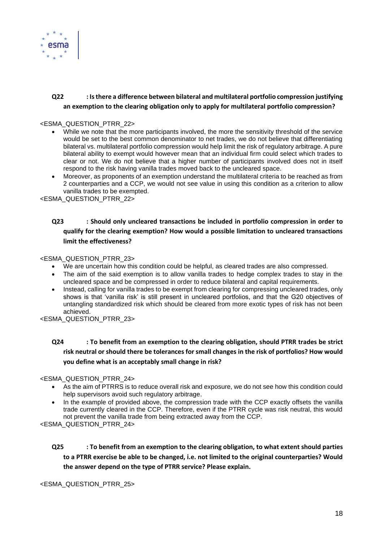

# **Q22 : Is there a difference between bilateral and multilateral portfolio compression justifying an exemption to the clearing obligation only to apply for multilateral portfolio compression?**

## <ESMA\_QUESTION\_PTRR\_22>

- While we note that the more participants involved, the more the sensitivity threshold of the service would be set to the best common denominator to net trades, we do not believe that differentiating bilateral vs. multilateral portfolio compression would help limit the risk of regulatory arbitrage. A pure bilateral ability to exempt would however mean that an individual firm could select which trades to clear or not. We do not believe that a higher number of participants involved does not in itself respond to the risk having vanilla trades moved back to the uncleared space.
- Moreover, as proponents of an exemption understand the multilateral criteria to be reached as from 2 counterparties and a CCP, we would not see value in using this condition as a criterion to allow vanilla trades to be exempted.

<ESMA\_QUESTION\_PTRR\_22>

# **Q23 : Should only uncleared transactions be included in portfolio compression in order to qualify for the clearing exemption? How would a possible limitation to uncleared transactions limit the effectiveness?**

#### <ESMA\_QUESTION\_PTRR\_23>

- We are uncertain how this condition could be helpful, as cleared trades are also compressed.
- The aim of the said exemption is to allow vanilla trades to hedge complex trades to stay in the uncleared space and be compressed in order to reduce bilateral and capital requirements.
- Instead, calling for vanilla trades to be exempt from clearing for compressing uncleared trades, only shows is that 'vanilla risk' is still present in uncleared portfolios, and that the G20 objectives of untangling standardized risk which should be cleared from more exotic types of risk has not been achieved.

<ESMA\_QUESTION\_PTRR\_23>

# **Q24 : To benefit from an exemption to the clearing obligation, should PTRR trades be strict risk neutral or should there be tolerances for small changes in the risk of portfolios? How would you define what is an acceptably small change in risk?**

## <ESMA\_QUESTION\_PTRR\_24>

- As the aim of PTRRS is to reduce overall risk and exposure, we do not see how this condition could help supervisors avoid such regulatory arbitrage.
- In the example of provided above, the compression trade with the CCP exactly offsets the vanilla trade currently cleared in the CCP. Therefore, even if the PTRR cycle was risk neutral, this would not prevent the vanilla trade from being extracted away from the CCP.

<ESMA\_QUESTION\_PTRR\_24>

**Q25 : To benefit from an exemption to the clearing obligation, to what extent should parties to a PTRR exercise be able to be changed, i.e. not limited to the original counterparties? Would the answer depend on the type of PTRR service? Please explain.**

<ESMA\_QUESTION\_PTRR\_25>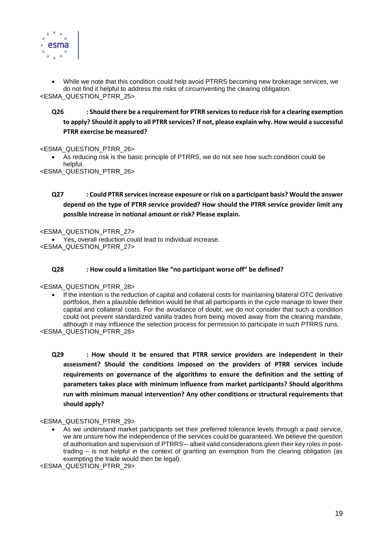

• While we note that this condition could help avoid PTRRS becoming new brokerage services, we do not find it helpful to address the risks of circumventing the clearing obligation. <ESMA\_QUESTION\_PTRR\_25>

# **Q26 : Should there be a requirement for PTRR services to reduce risk for a clearing exemption to apply? Should it apply to all PTRR services? If not, please explain why. How would a successful PTRR exercise be measured?**

## <ESMA\_QUESTION\_PTRR\_26>

• As reducing risk is the basic principle of PTRRS, we do not see how such condition could be helpful.

<ESMA\_QUESTION\_PTRR\_26>

# **Q27 : Could PTRR services increase exposure or risk on a participant basis? Would the answer depend on the type of PTRR service provided? How should the PTRR service provider limit any possible increase in notional amount or risk? Please explain.**

<ESMA\_QUESTION\_PTRR\_27>

• Yes, overall reduction could lead to individual increase. <ESMA\_QUESTION\_PTRR\_27>

## **Q28 : How could a limitation like "no participant worse off" be defined?**

## <ESMA\_QUESTION\_PTRR\_28>

If the intention is the reduction of capital and collateral costs for maintaining bilateral OTC derivative portfolios, then a plausible definition would be that all participants in the cycle manage to lower their capital and collateral costs. For the avoidance of doubt, we do not consider that such a condition could not prevent standardized vanilla trades from being moved away from the clearing mandate, although it may influence the selection process for permission to participate in such PTRRS runs.

<ESMA\_QUESTION\_PTRR\_28>

**Q29 : How should it be ensured that PTRR service providers are independent in their assessment? Should the conditions imposed on the providers of PTRR services include requirements on governance of the algorithms to ensure the definition and the setting of parameters takes place with minimum influence from market participants? Should algorithms run with minimum manual intervention? Any other conditions or structural requirements that should apply?**

## <ESMA\_QUESTION\_PTRR\_29>

• As we understand market participants set their preferred tolerance levels through a paid service, we are unsure how the independence of the services could be guaranteed. We believe the question of authorisation and supervision of PTRRS – albeit valid considerations given their key roles in posttrading – is not helpful in the context of granting an exemption from the clearing obligation (as exempting the trade would then be legal).

<ESMA\_QUESTION\_PTRR\_29>